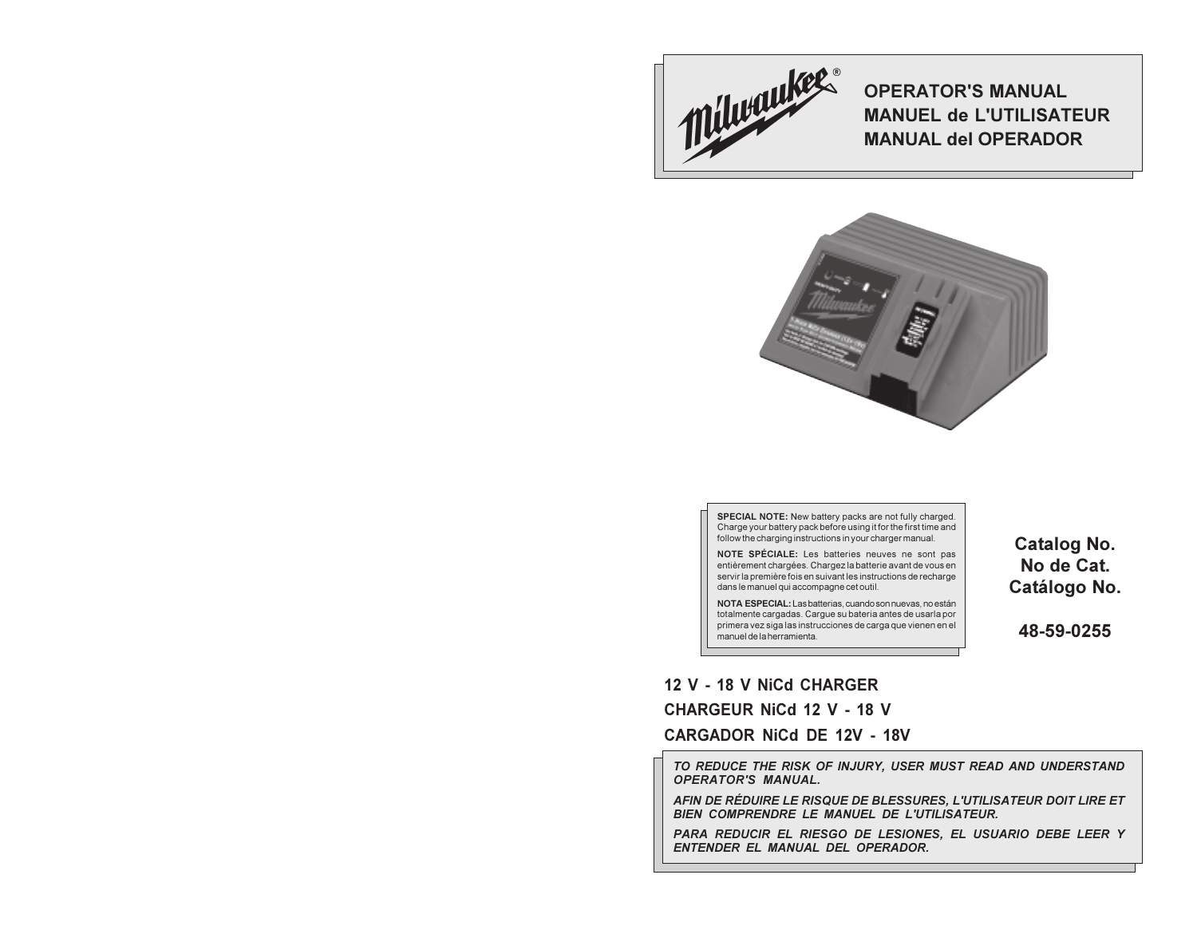

**OPERATOR'S MANUAL MANUEL de L'UTILISATEUR MANUAL del OPERADOR** 



SPECIAL NOTE: New battery packs are not fully charged. Charge your battery pack before using it for the first time and follow the charging instructions in your charger manual.

NOTE SPÉCIALE: Les batteries neuves ne sont pas entièrement chargées. Chargez la batterie avant de vous en servir la première fois en suivant les instructions de recharge dans le manuel qui accompagne cet outil.

NOTA ESPECIAL: Las batterias, cuando son nuevas, no están totalmente cargadas. Cargue su bateria antes de usarla por<br>primera vez siga las instrucciones de carga que vienen en el manuel de la herramienta.

**Catalog No.** No de Cat. Catálogo No.

48-59-0255

# 12 V - 18 V NiCd CHARGER **CHARGEUR NiCd 12 V - 18 V**

**CARGADOR NiCd DE 12V - 18V** 

TO REDUCE THE RISK OF INJURY, USER MUST READ AND UNDERSTAND **OPERATOR'S MANUAL.** 

AFIN DE RÉDUIRE LE RISQUE DE BLESSURES, L'UTILISATEUR DOIT LIRE ET BIEN COMPRENDRE LE MANUEL DE L'UTILISATEUR.

PARA REDUCIR EL RIESGO DE LESIONES, EL USUARIO DEBE LEER Y ENTENDER EL MANUAL DEL OPERADOR.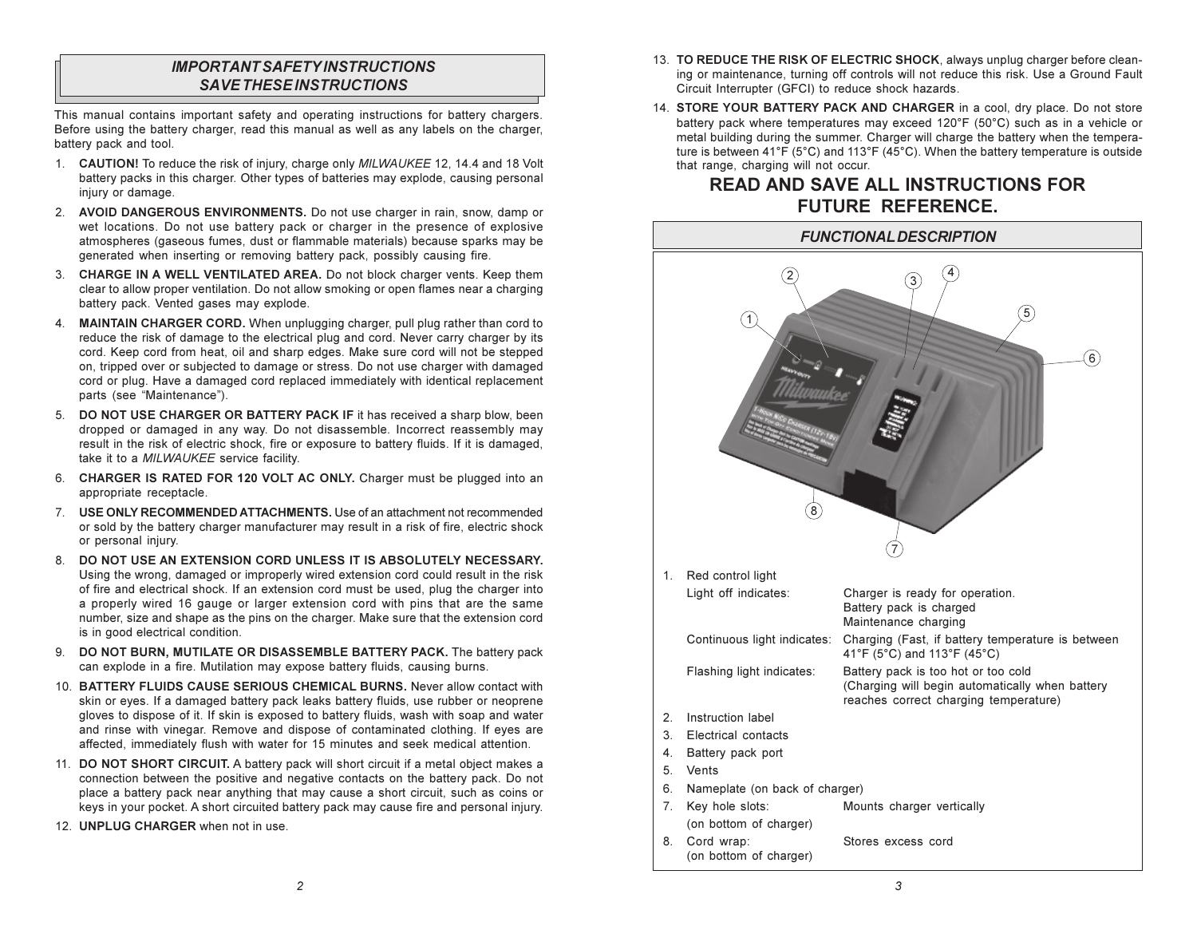## **IMPORTANT SAFETY INSTRUCTIONS SAVE THESE INSTRUCTIONS**

This manual contains important safety and operating instructions for battery chargers. Before using the battery charger, read this manual as well as any labels on the charger, battery pack and tool.

- 1. CAUTION! To reduce the risk of injury, charge only MILWAUKEE 12, 14.4 and 18 Volt battery packs in this charger. Other types of batteries may explode, causing personal injury or damage.
- 2. AVOID DANGEROUS ENVIRONMENTS. Do not use charger in rain, snow, damp or wet locations. Do not use battery pack or charger in the presence of explosive atmospheres (gaseous fumes, dust or flammable materials) because sparks may be generated when inserting or removing battery pack, possibly causing fire.
- 3. CHARGE IN A WELL VENTILATED AREA. Do not block charger vents. Keep them clear to allow proper ventilation. Do not allow smoking or open flames near a charging battery pack. Vented gases may explode.
- 4. MAINTAIN CHARGER CORD. When unplugging charger, pull plug rather than cord to reduce the risk of damage to the electrical plug and cord. Never carry charger by its cord. Keep cord from heat, oil and sharp edges. Make sure cord will not be stepped on, tripped over or subjected to damage or stress. Do not use charger with damaged cord or plug. Have a damaged cord replaced immediately with identical replacement parts (see "Maintenance").
- 5. DO NOT USE CHARGER OR BATTERY PACK IF it has received a sharp blow, been dropped or damaged in any way. Do not disassemble. Incorrect reassembly may result in the risk of electric shock, fire or exposure to battery fluids. If it is damaged, take it to a MILWAUKEE service facility.
- 6. CHARGER IS RATED FOR 120 VOLT AC ONLY. Charger must be plugged into an appropriate receptacle.
- 7. USE ONLY RECOMMENDED ATTACHMENTS. Use of an attachment not recommended or sold by the battery charger manufacturer may result in a risk of fire, electric shock or personal injury.
- 8. DO NOT USE AN EXTENSION CORD UNLESS IT IS ABSOLUTELY NECESSARY. Using the wrong, damaged or improperly wired extension cord could result in the risk of fire and electrical shock. If an extension cord must be used, plug the charger into a properly wired 16 gauge or larger extension cord with pins that are the same number, size and shape as the pins on the charger. Make sure that the extension cord is in good electrical condition.
- 9. DO NOT BURN, MUTILATE OR DISASSEMBLE BATTERY PACK. The battery pack can explode in a fire. Mutilation may expose battery fluids, causing burns.
- 10. BATTERY FLUIDS CAUSE SERIOUS CHEMICAL BURNS, Never allow contact with skin or eyes. If a damaged battery pack leaks battery fluids, use rubber or neoprene gloves to dispose of it. If skin is exposed to battery fluids, wash with soap and water and rinse with vinegar. Remove and dispose of contaminated clothing. If eyes are affected, immediately flush with water for 15 minutes and seek medical attention.
- 11. DO NOT SHORT CIRCUIT. A battery pack will short circuit if a metal object makes a connection between the positive and negative contacts on the battery pack. Do not place a battery pack near anything that may cause a short circuit, such as coins or keys in your pocket. A short circuited battery pack may cause fire and personal injury.
- 12. UNPLUG CHARGER when not in use.
- 13. TO REDUCE THE RISK OF ELECTRIC SHOCK, always unplug charger before cleaning or maintenance, turning off controls will not reduce this risk. Use a Ground Fault Circuit Interrupter (GFCI) to reduce shock hazards.
- 14. STORE YOUR BATTERY PACK AND CHARGER in a cool, dry place. Do not store battery pack where temperatures may exceed 120°F (50°C) such as in a vehicle or metal building during the summer. Charger will charge the battery when the temperature is between 41°F (5°C) and 113°F (45°C). When the battery temperature is outside that range, charging will not occur.

# **READ AND SAVE ALL INSTRUCTIONS FOR** FUTURE REFERENCE.

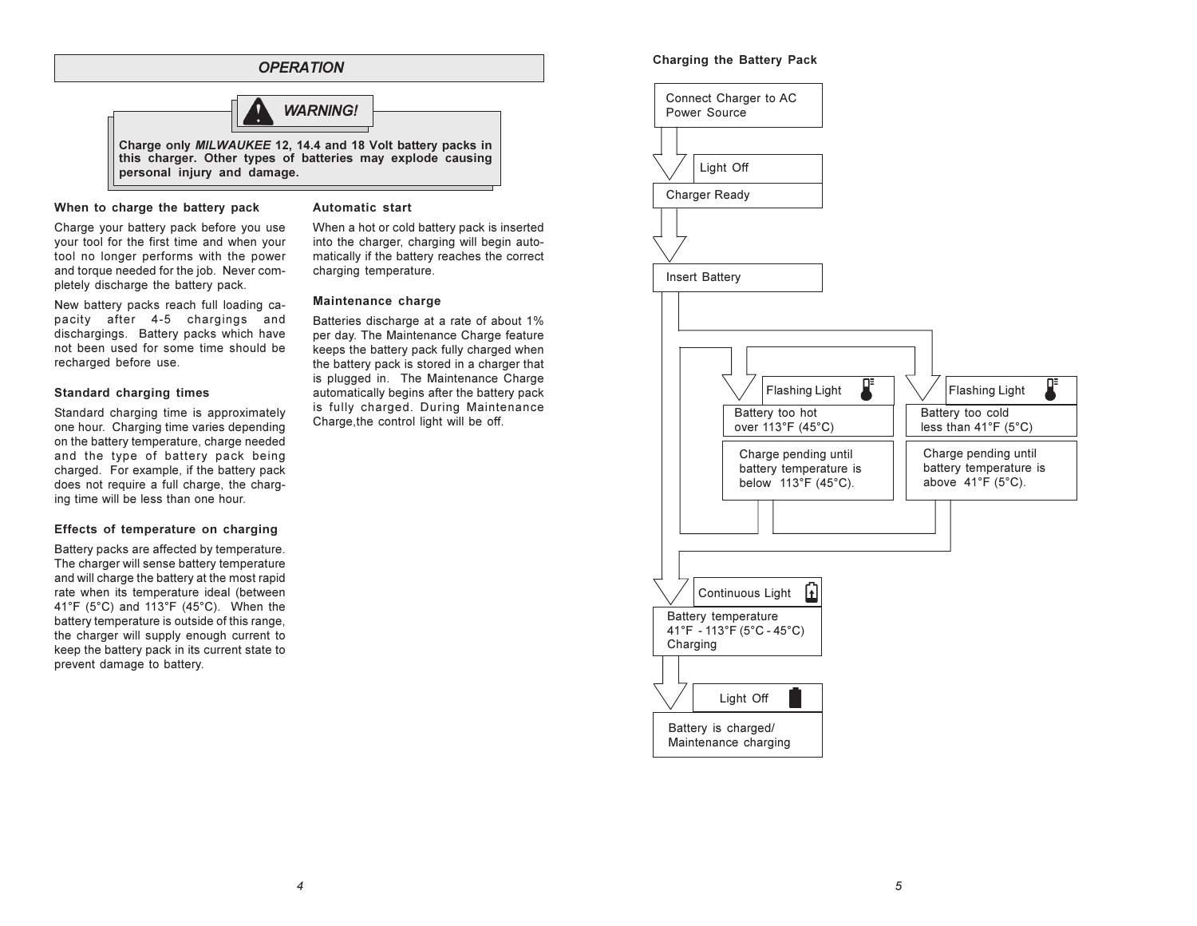

#### When to charge the battery pack

### Automatic start

Charge your battery pack before you use your tool for the first time and when your tool no longer performs with the power and torque needed for the job. Never completely discharge the battery pack.

New battery packs reach full loading capacity after 4-5 chargings and dischargings. Battery packs which have not been used for some time should be recharged before use.

## Standard charging times

Standard charging time is approximately one hour. Charging time varies depending on the battery temperature, charge needed and the type of battery pack being charged For example, if the battery pack does not require a full charge, the charging time will be less than one hour.

## Effects of temperature on charging

Battery packs are affected by temperature. The charger will sense battery temperature and will charge the battery at the most rapid rate when its temperature ideal (between 41°F  $(5^{\circ}C)$  and 113°F  $(45^{\circ}C)$ . When the battery temperature is outside of this range. the charger will supply enough current to keep the battery pack in its current state to prevent damage to battery.

When a hot or cold battery pack is inserted into the charger, charging will begin automatically if the battery reaches the correct charging temperature.

## Maintenance charge

Batteries discharge at a rate of about 1% per day. The Maintenance Charge feature keeps the battery pack fully charged when the battery pack is stored in a charger that is plugged in. The Maintenance Charge automatically begins after the battery pack is fully charged. During Maintenance Charge, the control light will be off.

## Charging the Battery Pack

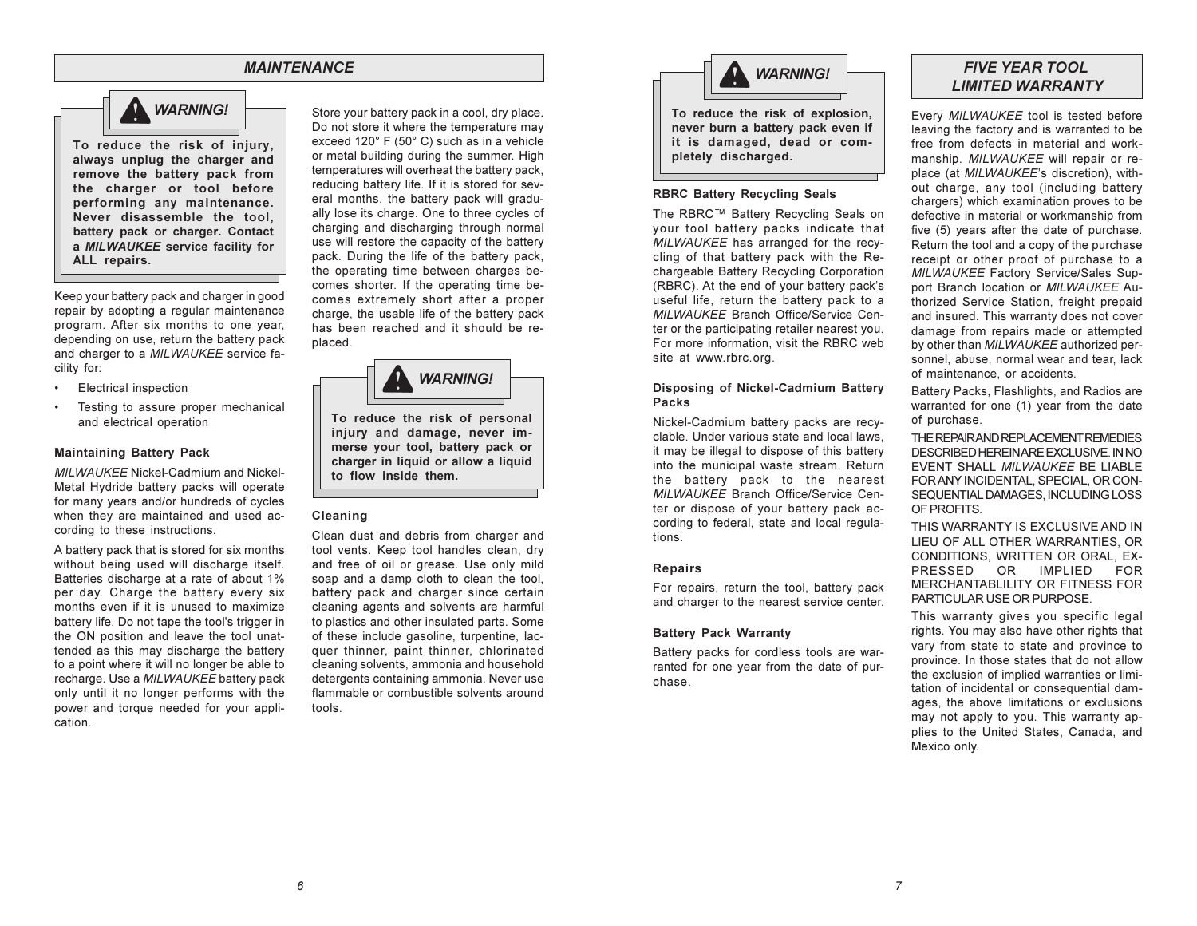## **MAINTENANCE**



To reduce the risk of injury, always unplug the charger and remove the battery pack from the charger or tool before performing any maintenance. Never disassemble the tool, battery pack or charger. Contact a MILWAUKEE service facility for ALL repairs.

Keep your battery pack and charger in good repair by adopting a regular maintenance program. After six months to one year, depending on use, return the battery pack and charger to a MILWAUKEE service facility for:

- $\bullet$ **Electrical inspection**
- $\bullet$ Testing to assure proper mechanical and electrical operation

#### **Maintaining Battery Pack**

MILWAUKEE Nickel-Cadmium and Nickel-Metal Hydride battery packs will operate for many years and/or hundreds of cycles when they are maintained and used according to these instructions.

A battery pack that is stored for six months without being used will discharge itself. Batteries discharge at a rate of about 1% per day. Charge the battery every six months even if it is unused to maximize battery life. Do not tape the tool's trigger in the ON position and leave the tool unattended as this may discharge the battery to a point where it will no longer be able to recharge. Use a MILWAUKEE battery pack only until it no longer performs with the power and torque needed for your application.

Store your battery pack in a cool, dry place. Do not store it where the temperature may exceed 120° F (50° C) such as in a vehicle or metal building during the summer. High temperatures will overheat the battery pack. reducing battery life. If it is stored for several months, the battery pack will gradually lose its charge. One to three cycles of charging and discharging through normal use will restore the capacity of the battery pack. During the life of the battery pack, the operating time between charges becomes shorter. If the operating time becomes extremely short after a proper charge, the usable life of the battery pack has been reached and it should be replaced.



To reduce the risk of personal injury and damage, never immerse your tool, battery pack or charger in liquid or allow a liquid to flow inside them.

#### Cleaning

Clean dust and debris from charger and tool vents. Keep tool handles clean, dry and free of oil or grease. Use only mild soap and a damp cloth to clean the tool, battery pack and charger since certain cleaning agents and solvents are harmful to plastics and other insulated parts. Some of these include gasoline, turpentine, lacquer thinner, paint thinner, chlorinated cleaning solvents, ammonia and household detergents containing ammonia. Never use flammable or combustible solvents around tools.



it is damaged, dead or completely discharged.

#### **RBRC Battery Recycling Seals**

The RBRC™ Battery Recycling Seals on your tool battery packs indicate that MILWAUKEE has arranged for the recvcling of that battery pack with the Rechargeable Battery Recycling Corporation (RBRC). At the end of your battery pack's useful life, return the battery pack to a MILWAUKEE Branch Office/Service Center or the participating retailer nearest you. For more information, visit the RBRC web site at www.rbrc.org.

## Disposing of Nickel-Cadmium Battery **Packs**

Nickel-Cadmium battery packs are recyclable. Under various state and local laws. it may be illegal to dispose of this battery into the municipal waste stream. Return the battery pack to the nearest MILWAUKEE Branch Office/Service Center or dispose of your battery pack according to federal, state and local regulations.

#### **Repairs**

For repairs, return the tool, battery pack and charger to the nearest service center.

### **Battery Pack Warranty**

Battery packs for cordless tools are warranted for one year from the date of purchase.

## **FIVE YEAR TOOL LIMITED WARRANTY**

Every MILWAUKEE tool is tested before leaving the factory and is warranted to be free from defects in material and workmanship. MILWAUKEE will repair or replace (at MILWAUKEE's discretion), without charge, any tool (including battery chargers) which examination proves to be defective in material or workmanship from five (5) years after the date of purchase. Return the tool and a copy of the purchase receipt or other proof of purchase to a MILWAUKEE Factory Service/Sales Support Branch location or MILWAUKEE Authorized Service Station, freight prepaid and insured. This warranty does not cover damage from repairs made or attempted by other than MILWAUKEE authorized personnel, abuse, normal wear and tear, lack of maintenance, or accidents.

Battery Packs, Flashlights, and Radios are warranted for one (1) year from the date of purchase.

THE REPAIR AND REPLACEMENT REMEDIES DESCRIBED HEREIN ARE EXCLUSIVE. IN NO FVENT SHALL MILWALIKEE BE LIARLE FOR ANY INCIDENTAL, SPECIAL, OR CON-SEQUENTIAL DAMAGES, INCLUDING LOSS OF PROFITS

THIS WARRANTY IS EXCLUSIVE AND IN LIEU OF ALL OTHER WARRANTIES, OR CONDITIONS, WRITTEN OR ORAL, EX-PRESSED OR. **IMPLIED FOR** MERCHANTABLILITY OR FITNESS FOR PARTICULAR USE OR PURPOSE.

This warranty gives you specific legal rights. You may also have other rights that vary from state to state and province to province. In those states that do not allow the exclusion of implied warranties or limitation of incidental or consequential damages, the above limitations or exclusions may not apply to you. This warranty applies to the United States, Canada, and Mexico only.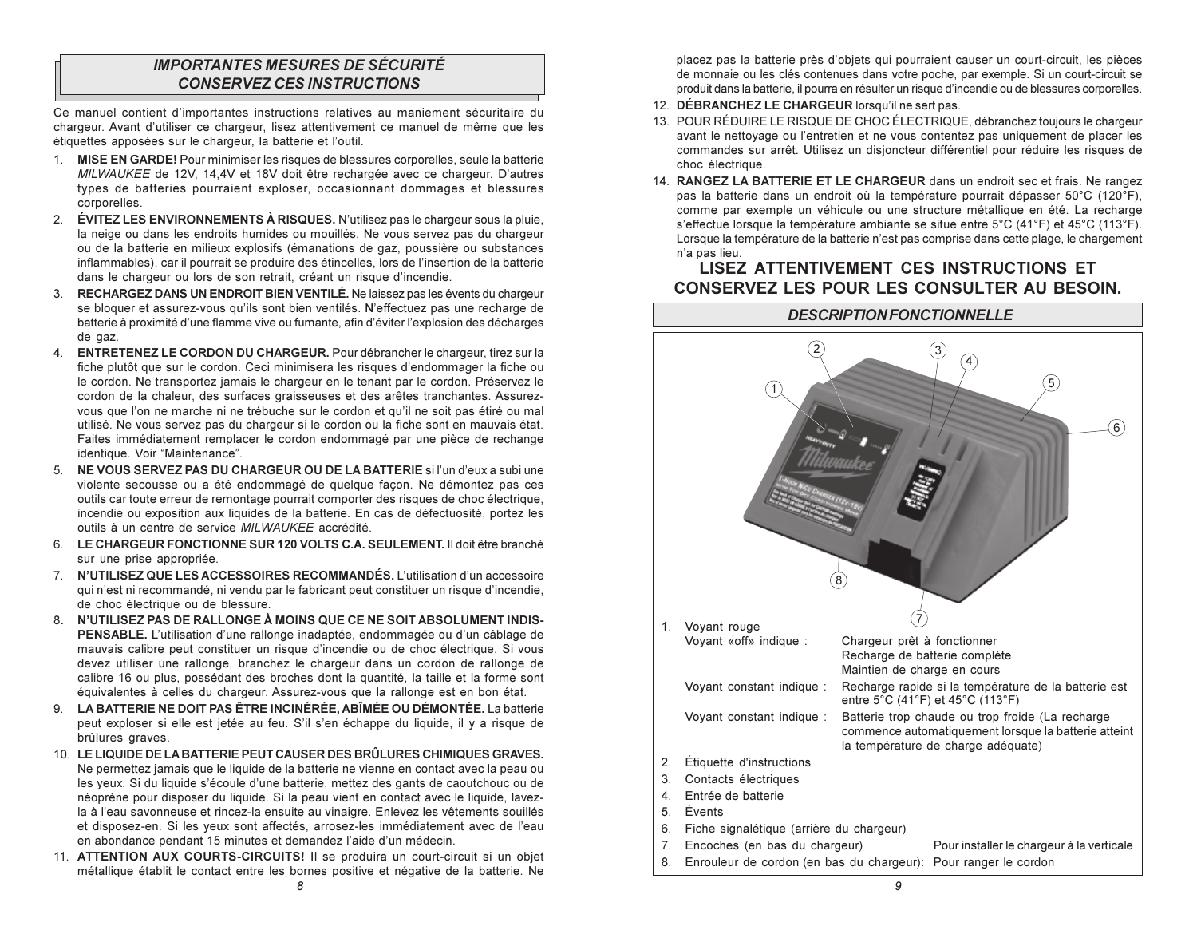## **IMPORTANTES MESURES DE SÉCURITÉ CONSERVEZ CES INSTRUCTIONS**

Ce manuel contient d'importantes instructions relatives au maniement sécuritaire du chargeur. Avant d'utiliser ce chargeur, lisez attentivement ce manuel de même que les étiquettes apposées sur le chargeur, la batterie et l'outil.

- 1. MISE EN GARDE! Pour minimiser les risques de blessures corporelles, seule la batterie MILWAUKEE de 12V, 14,4V et 18V doit être rechargée avec ce chargeur. D'autres types de batteries pourraient exploser, occasionnant dommages et blessures corporelles.
- 2. ÉVITEZ LES ENVIRONNEMENTS À RISQUES. N'utilisez pas le chargeur sous la pluie. la neige ou dans les endroits humides ou mouillés. Ne vous servez pas du chargeur ou de la batterie en milieux explosifs (émanations de gaz, poussière ou substances inflammables), car il pourrait se produire des étincelles, lors de l'insertion de la batterie dans le chargeur ou lors de son retrait, créant un risque d'incendie.
- 3. RECHARGEZ DANS UN ENDROIT BIEN VENTILÉ. Ne laissez pas les évents du chargeur se bloquer et assurez-vous qu'ils sont bien ventilés. N'effectuez pas une recharge de batterie à proximité d'une flamme vive ou fumante, afin d'éviter l'explosion des décharges de gaz.
- 4. ENTRETENEZ LE CORDON DU CHARGEUR. Pour débrancher le chargeur, tirez sur la fiche plutôt que sur le cordon. Ceci minimisera les risques d'endommager la fiche ou le cordon. Ne transportez jamais le chargeur en le tenant par le cordon. Préservez le cordon de la chaleur, des surfaces graisseuses et des arêtes tranchantes. Assurezvous que l'on ne marche ni ne trébuche sur le cordon et qu'il ne soit pas étiré ou mal utilisé. Ne vous servez pas du chargeur si le cordon ou la fiche sont en mauvais état. Faites immédiatement remplacer le cordon endommagé par une pièce de rechange identique. Voir "Maintenance".
- 5. NE VOUS SERVEZ PAS DU CHARGEUR OU DE LA BATTERIE si l'un d'eux a subi une violente secousse ou a été endommagé de quelque façon. Ne démontez pas ces outils car toute erreur de remontage pourrait comporter des risques de choc électrique, incendie ou exposition aux liquides de la batterie. En cas de défectuosité, portez les outils à un centre de service MILWAUKEE accrédité.
- 6. LE CHARGEUR FONCTIONNE SUR 120 VOLTS C.A. SEULEMENT. Il doit être branché sur une prise appropriée.
- 7. N'UTILISEZ QUE LES ACCESSOIRES RECOMMANDÉS. L'utilisation d'un accessoire qui n'est ni recommandé, ni vendu par le fabricant peut constituer un risque d'incendie. de choc électrique ou de blessure.
- 8. N'UTILISEZ PAS DE RALLONGE À MOINS QUE CE NE SOIT ABSOLUMENT INDIS-PENSABLE. L'utilisation d'une rallonge inadaptée, endommagée ou d'un câblage de mauvais calibre peut constituer un risque d'incendie ou de choc électrique. Si vous devez utiliser une rallonge, branchez le chargeur dans un cordon de rallonge de calibre 16 ou plus, possédant des broches dont la quantité, la taille et la forme sont équivalentes à celles du chargeur. Assurez-vous que la rallonge est en bon état.
- 9. LA BATTERIE NE DOIT PAS ÊTRE INCINÉRÉE. ABÎMÉE OU DÉMONTÉE. La batterie peut exploser si elle est jetée au feu. S'il s'en échappe du liquide, il y a risque de brûlures graves.
- 10. LE LIQUIDE DE LA BATTERIE PEUT CAUSER DES BRÛLURES CHIMIQUES GRAVES. Ne permettez jamais que le liquide de la batterie ne vienne en contact avec la peau ou les yeux. Si du liquide s'écoule d'une batterie, mettez des gants de caoutchouc ou de néoprène pour disposer du liquide. Si la peau vient en contact avec le liquide, lavezla à l'eau savonneuse et rincez-la ensuite au vinaigre. Enlevez les vêtements souillés et disposez-en. Si les yeux sont affectés, arrosez-les immédiatement avec de l'eau en abondance pendant 15 minutes et demandez l'aide d'un médecin.
- 11. ATTENTION AUX COURTS-CIRCUITS! Il se produira un court-circuit si un objet métallique établit le contact entre les bornes positive et négative de la batterie. Ne

placez pas la batterie près d'objets qui pourraient causer un court-circuit, les pièces de monnaie ou les clés contenues dans votre poche, par exemple. Si un court-circuit se produit dans la batterie, il pourra en résulter un risque d'incendie ou de blessures corporelles.

- 12. DÉBRANCHEZ LE CHARGEUR lorsqu'il ne sert pas.
- 13. POUR RÉDUIRE LE RISQUE DE CHOC ÉLECTRIQUE, débranchez toujours le chargeur avant le nettoyage ou l'entretien et ne vous contentez pas uniquement de placer les commandes sur arrêt. Utilisez un disjoncteur différentiel pour réduire les risques de choc électrique.
- 14. RANGEZ LA BATTERIE ET LE CHARGEUR dans un endroit sec et frais. Ne rangez pas la batterie dans un endroit où la température pourrait dépasser 50°C (120°F). comme par exemple un véhicule ou une structure métallique en été. La recharge s'effectue lorsque la température ambiante se situe entre 5°C (41°F) et 45°C (113°F). Lorsque la température de la batterie n'est pas comprise dans cette plage, le chargement n'a pas lieu.

# **LISEZ ATTENTIVEMENT CES INSTRUCTIONS ET** CONSERVEZ LES POUR LES CONSULTER AU BESOIN.

**DESCRIPTION FONCTIONNELLE** 

# $(2)$  $\left(3\right)$ 4 ഭ  $\circledast$ 1. Vovant rouge Vovant «off» indique : Chargeur prêt à fonctionner Recharge de batterie complète Maintien de charge en cours Voyant constant indique : Recharge rapide si la température de la batterie est entre 5°C (41°F) et 45°C (113°F) Batterie trop chaude ou trop froide (La recharge Voyant constant indique : commence automatiquement lorsque la batterie atteint la température de charge adéquate) 2. Étiquette d'instructions 3. Contacts électriques 4. Entrée de batterie 5. Évents 6. Fiche signalétique (arrière du chargeur) 7. Encoches (en bas du chargeur) Pour installer le chargeur à la verticale 8. Enrouleur de cordon (en bas du chargeur): Pour ranger le cordon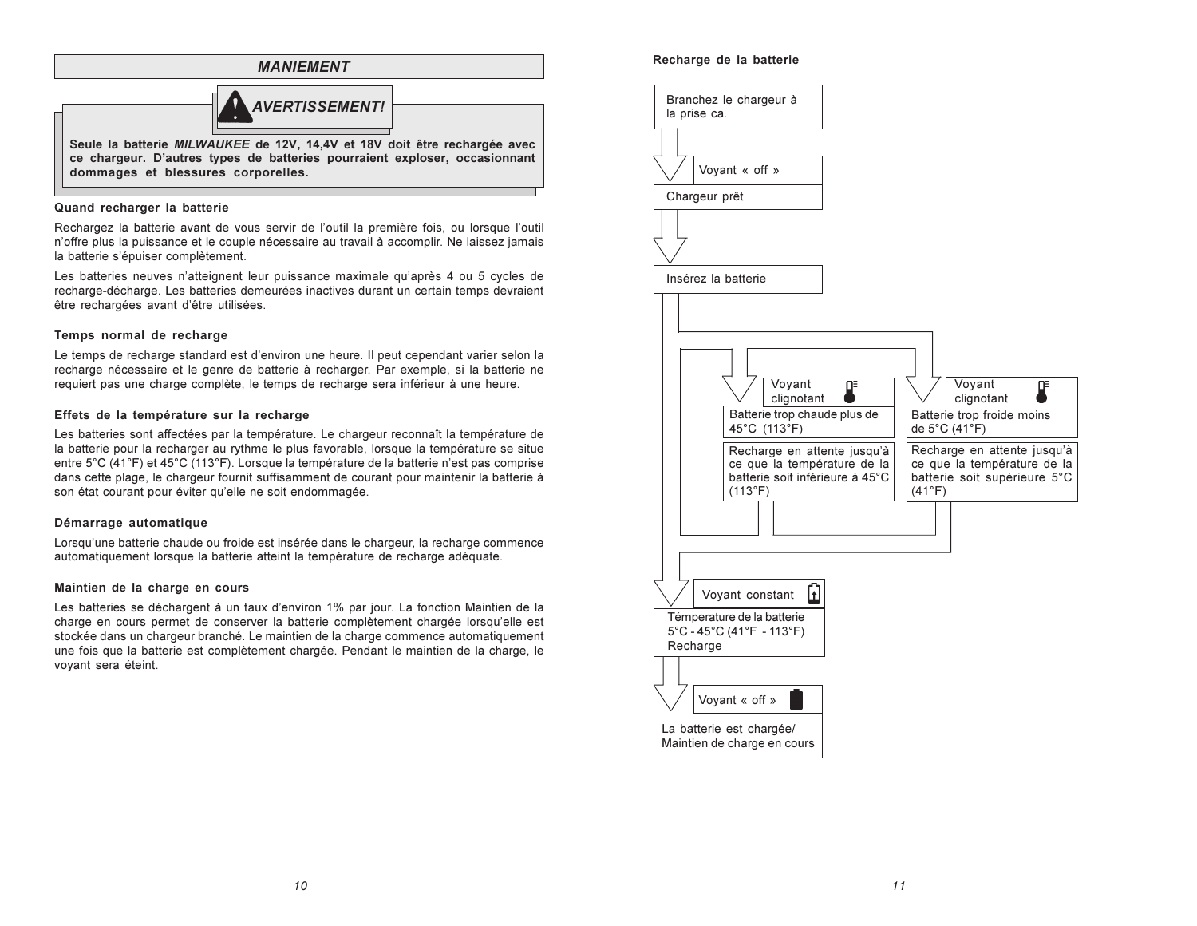

## Quand recharger la batterie

Rechargez la batterie avant de vous servir de l'outil la première fois, ou lorsque l'outil n'offre plus la puissance et le couple nécessaire au travail à accomplir. Ne laissez jamais la batterie s'épuiser complètement.

Les batteries neuves n'atteignent leur puissance maximale qu'après 4 ou 5 cycles de recharge-décharge. Les batteries demeurées inactives durant un certain temps devraient être rechargées avant d'être utilisées.

## Temps normal de recharge

Le temps de recharge standard est d'environ une heure. Il peut cependant varier selon la recharge nécessaire et le genre de batterie à recharger. Par exemple, si la batterie ne requiert pas une charge complète, le temps de recharge sera inférieur à une heure.

## Effets de la température sur la recharge

Les batteries sont affectées par la température. Le chargeur reconnaît la température de la batterie pour la recharger au rythme le plus favorable, lorsque la température se situe entre 5°C (41°F) et 45°C (113°F). Lorsque la température de la batterie n'est pas comprise dans cette plage. le chargeur fournit suffisamment de courant pour maintenir la batterie à son état courant pour éviter qu'elle ne soit endommagée.

## Démarrage automatique

Lorsqu'une batterie chaude ou froide est insérée dans le chargeur, la recharge commence automatiquement lorsque la batterie atteint la température de recharge adéquate.

## Maintien de la charge en cours

Les batteries se déchargent à un taux d'environ 1% par jour. La fonction Maintien de la charge en cours permet de conserver la batterie complètement chargée lorsqu'elle est stockée dans un chargeur branché. Le maintien de la charge commence automatiquement une fois que la batterie est complètement chargée. Pendant le maintien de la charge, le voyant sera éteint.

## Recharge de la batterie

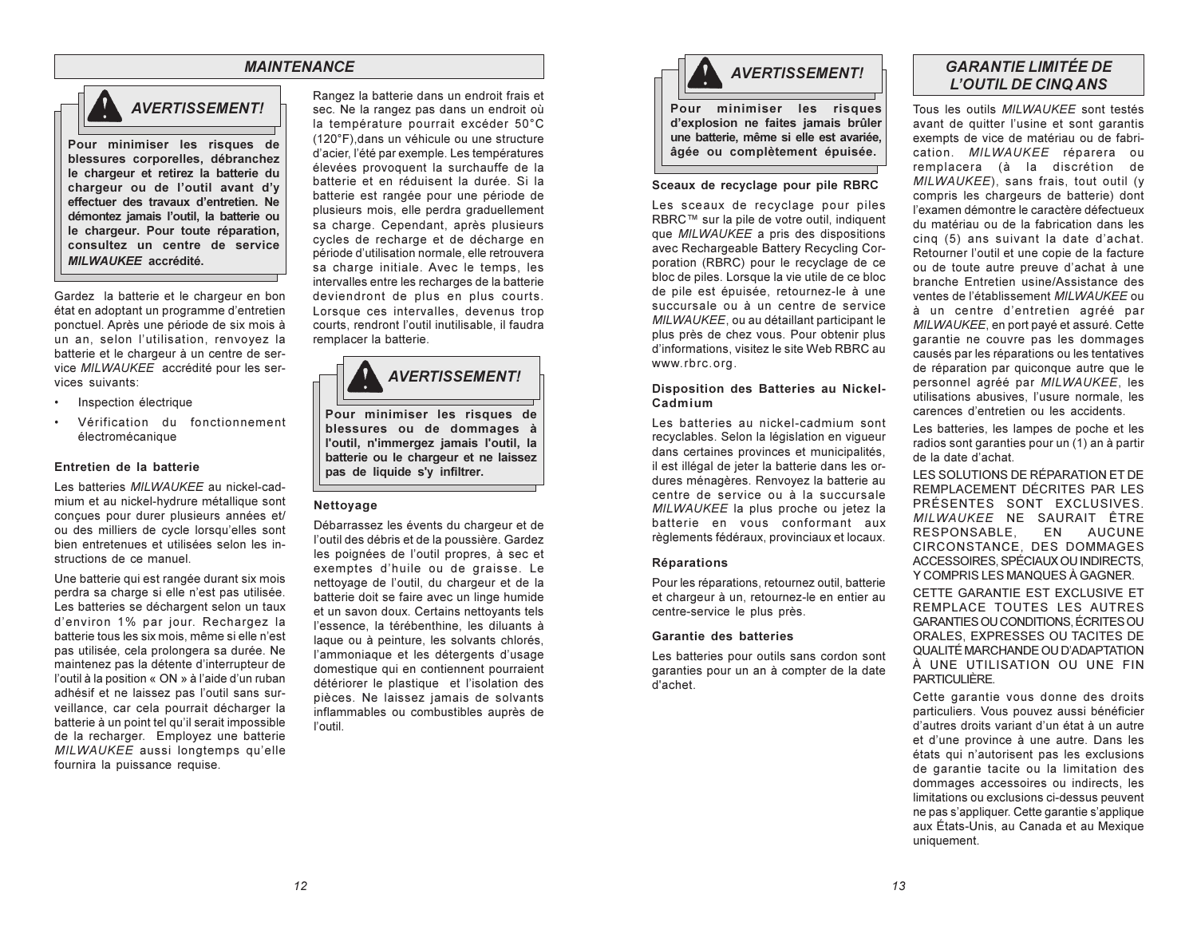## **MAINTENANCE**



**AVERTISSEMENT!** 

Pour minimiser les risques de blessures corporelles, débranchez le chargeur et retirez la batterie du chargeur ou de l'outil avant d'y effectuer des travaux d'entretien. Ne démontez jamais l'outil, la batterie ou le chargeur. Pour toute réparation, consultez un centre de service **MILWAUKEE** accrédité.

Gardez la batterie et le chargeur en bon état en adoptant un programme d'entretien ponctuel. Après une période de six mois à un an. selon l'utilisation, renvovez la batterie et le chargeur à un centre de service MILWAUKEE accrédité pour les services suivants:

- Inspection électrique
- Vérification du fonctionnement électromécanique

## Entretien de la batterie

Les batteries MILWAUKEE au nickel-cadmium et au nickel-hydrure métallique sont concues pour durer plusieurs années et/ ou des milliers de cycle lorsqu'elles sont bien entretenues et utilisées selon les instructions de ce manuel.

Une batterie qui est rangée durant six mois perdra sa charge si elle n'est pas utilisée. Les batteries se déchargent selon un taux d'environ 1% par jour. Rechargez la batterie tous les six mois, même si elle n'est pas utilisée, cela prolongera sa durée. Ne maintenez pas la détente d'interrupteur de l'outil à la position « ON » à l'aide d'un ruban adhésif et ne laissez pas l'outil sans surveillance, car cela pourrait décharger la batterie à un point tel qu'il serait impossible de la recharger. Employez une batterie MILWAUKEE aussi longtemps qu'elle fournira la puissance requise.

Rangez la batterie dans un endroit frais et sec. Ne la rangez pas dans un endroit où la température pourrait excéder 50°C (120°F) dans un véhicule ou une structure d'acier, l'été par exemple. Les températures élevées provoquent la surchauffe de la batterie et en réduisent la durée. Si la batterie est rangée pour une période de plusieurs mois, elle perdra graduellement sa charge. Cependant, après plusieurs cycles de recharge et de décharge en période d'utilisation normale, elle retrouvera sa charge initiale. Avec le temps, les intervalles entre les recharges de la batterie deviendront de plus en plus courts. Lorsque ces intervalles, devenus trop courts, rendront l'outil inutilisable, il faudra remplacer la batterie.



Pour minimiser les risques de blessures ou de dommages à l'outil, n'immergez jamais l'outil, la batterie ou le chargeur et ne laissez pas de liquide s'v infiltrer.

### Nettovage

Débarrassez les évents du chargeur et de l'outil des débris et de la poussière. Gardez les poignées de l'outil propres, à sec et exemptes d'huile ou de graisse. Le nettoyage de l'outil, du chargeur et de la batterie doit se faire avec un linge humide et un savon doux. Certains nettoyants tels l'essence, la térébenthine, les diluants à laque ou à peinture, les solvants chlorés, l'ammoniaque et les détergents d'usage domestique qui en contiennent pourraient détériorer le plastique et l'isolation des pièces. Ne laissez jamais de solvants inflammables ou combustibles auprès de l'outil



#### Sceaux de recyclage pour pile RBRC

Les sceaux de recyclage pour piles RBRC™ sur la pile de votre outil, indiquent que MILWAUKEE a pris des dispositions avec Rechargeable Battery Recycling Corporation (RBRC) pour le recyclage de ce bloc de piles. Lorsque la vie utile de ce bloc de pile est épuisée, retournez-le à une succursale ou à un centre de service MILWAUKEE, ou au détaillant participant le plus près de chez vous. Pour obtenir plus d'informations, visitez le site Web RBRC au www.rbrc.org.

## Disposition des Batteries au Nickel-Cadmium

Les batteries au nickel-cadmium sont recyclables. Selon la législation en viqueur dans certaines provinces et municipalités, il est illégal de jeter la batterie dans les ordures ménagères. Renvoyez la batterie au centre de service ou à la succursale MILWAUKEE la plus proche ou jetez la batterie en vous conformant aux règlements fédéraux, provinciaux et locaux.

## Réparations

Pour les réparations, retournez outil, batterie et chargeur à un, retournez-le en entier au centre-service le plus près.

#### Garantie des batteries

Les batteries pour outils sans cordon sont garanties pour un an à compter de la date d'achet

## **GARANTIE LIMITÉE DE L'OUTIL DE CINQ ANS**

Tous les outils MILWAUKEE sont testés avant de quitter l'usine et sont garantis exempts de vice de matériau ou de fabrication. MILWAUKEE réparera ou remplacera (à la discrétion de MILWAUKEE), sans frais, tout outil (y compris les chargeurs de batterie) dont l'examen démontre le caractère défectueux du matériau ou de la fabrication dans les cing (5) ans suivant la date d'achat. Retourner l'outil et une copie de la facture ou de toute autre preuve d'achat à une branche Entretien usine/Assistance des ventes de l'établissement MILWAUKEE ou à un centre d'entretien agréé par MILWAUKEE, en port payé et assuré. Cette garantie ne couvre pas les dommages causés par les réparations ou les tentatives de réparation par quiconque autre que le personnel agréé par MILWAUKEE. les utilisations abusives. l'usure normale, les carences d'entretien ou les accidents

Les batteries, les lampes de poche et les radios sont garanties pour un (1) an à partir de la date d'achat.

LES SOLUTIONS DE RÉPARATION ET DE REMPLACEMENT DÉCRITES PAR LES PRÉSENTES SONT EXCLUSIVES MILWAUKEE NE SAURAIT ÊTRE RESPONSABLE. **FN** AUCUNE CIRCONSTANCE. DES DOMMAGES ACCESSOIRES, SPÉCIAUX OU INDIRECTS, Y COMPRIS LES MANQUES À GAGNER.

CETTE GARANTIE EST EXCLUSIVE ET REMPLACE TOUTES LES AUTRES GARANTIES OU CONDITIONS, ÉCRITES OU ORALES. EXPRESSES OU TACITES DE QUALITÉ MARCHANDE OU D'ADAPTATION À UNE UTILISATION OU UNE FIN PARTICULIÈRE.

Cette garantie vous donne des droits particuliers. Vous pouvez aussi bénéficier d'autres droits variant d'un état à un autre et d'une province à une autre. Dans les états qui n'autorisent pas les exclusions de garantie tacite ou la limitation des dommages accessoires ou indirects. les limitations ou exclusions ci-dessus peuvent ne pas s'appliquer. Cette garantie s'applique aux États-Unis, au Canada et au Mexique uniquement.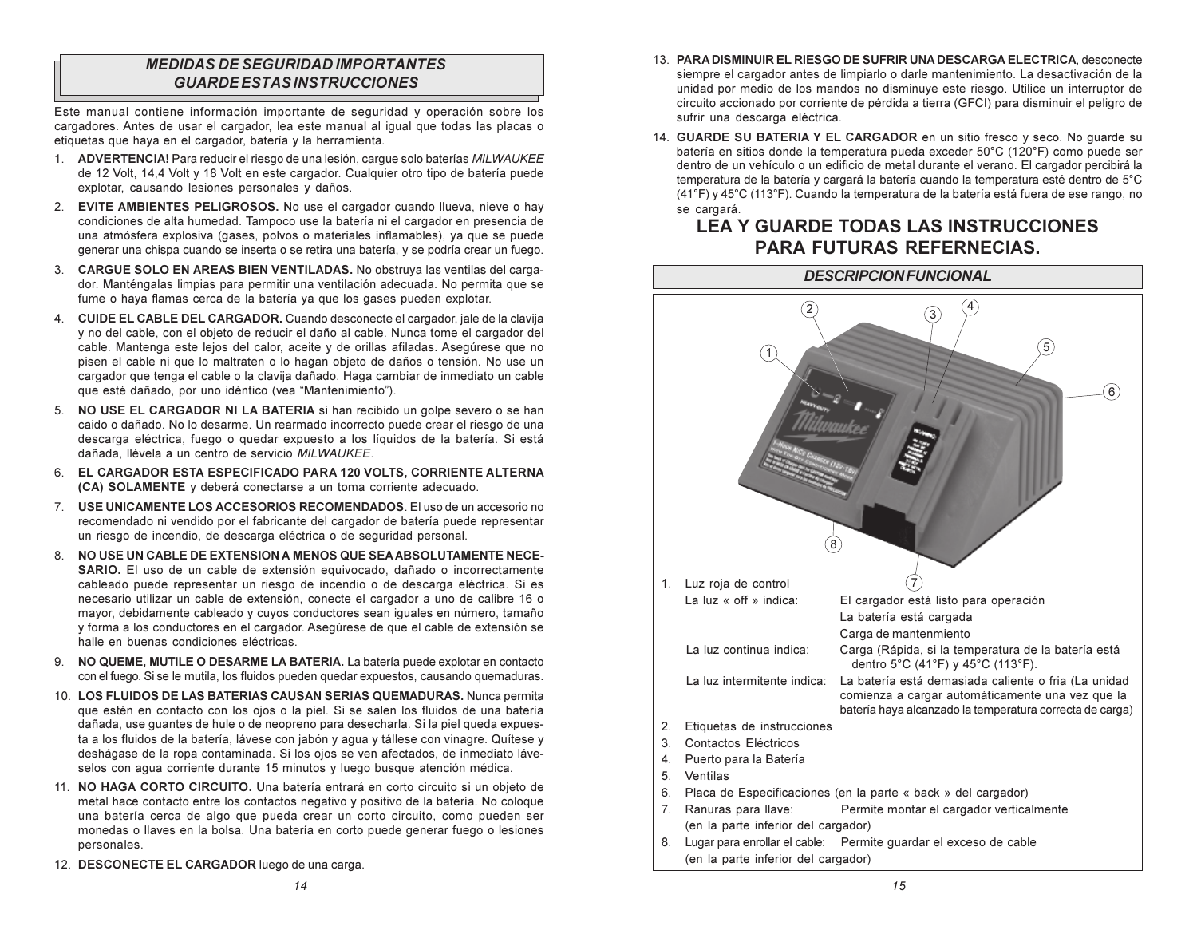## **MEDIDAS DE SEGURIDAD IMPORTANTES GUARDE ESTAS INSTRUCCIONES**

Este manual contiene información importante de seguridad y operación sobre los cargadores. Antes de usar el cargador, lea este manual al igual que todas las placas o etiquetas que haya en el cargador, batería y la herramienta.

- 1. ADVERTENCIA! Para reducir el riesgo de una lesión, cargue solo baterías MILWAUKEE de 12 Volt, 14,4 Volt y 18 Volt en este cargador. Cualquier otro tipo de batería puede explotar, causando lesiones personales y daños.
- 2. EVITE AMBIENTES PELIGROSOS. No use el cargador cuando llueva, nieve o havi condiciones de alta humedad. Tampoco use la batería ni el cargador en presencia de una atmósfera explosiva (gases, polvos o materiales inflamables), ya que se puede generar una chispa cuando se inserta o se retira una batería, y se podría crear un fuego.
- 3. CARGUE SOLO EN AREAS BIEN VENTILADAS. No obstruya las ventilas del cargador. Manténgalas limpias para permitir una ventilación adecuada. No permita que se fume o hava flamas cerca de la batería va que los gases pueden explotar.
- 4. CUIDE EL CABLE DEL CARGADOR. Cuando desconecte el cargador, jale de la clavija y no del cable, con el objeto de reducir el daño al cable. Nunca tome el cargador del cable. Mantenga este lejos del calor, aceite y de orillas afiladas. Asegúrese que no pisen el cable ni que lo maltraten o lo hagan objeto de daños o tensión. No use un cargador que tenga el cable o la clavija dañado. Haga cambiar de inmediato un cable que esté dañado, por uno idéntico (vea "Mantenimiento").
- 5. NO USE EL CARGADOR NI LA BATERIA si han recibido un golpe severo o se han caido o dañado. No lo desarme. Un rearmado incorrecto puede crear el riesgo de una descarga eléctrica, fuego o quedar expuesto a los líquidos de la batería. Si está dañada, llévela a un centro de servicio MILWAUKEE.
- 6. EL CARGADOR ESTA ESPECIFICADO PARA 120 VOLTS, CORRIENTE ALTERNA (CA) SOLAMENTE y deberá conectarse a un toma corriente adecuado.
- 7. USE UNICAMENTE LOS ACCESORIOS RECOMENDADOS. El uso de un accesorio no recomendado ni vendido por el fabricante del cargador de batería puede representar un riesgo de incendio, de descarga eléctrica o de seguridad personal.
- 8. NO USE UN CABLE DE EXTENSION A MENOS QUE SEA ABSOLUTAMENTE NECE-SARIO. El uso de un cable de extensión equivocado, dañado o incorrectamente cableado puede representar un riesgo de incendio o de descarga eléctrica. Si es necesario utilizar un cable de extensión, conecte el cargador a uno de calibre 16 o mayor, debidamente cableado y cuyos conductores sean iguales en número, tamaño y forma a los conductores en el cargador. Asegúrese de que el cable de extensión se halle en buenas condiciones eléctricas
- 9. NO QUEME, MUTILE O DESARME LA BATERIA. La batería puede explotar en contacto con el fuego. Si se le mutila, los fluidos pueden quedar expuestos, causando quemaduras.
- 10. LOS FLUIDOS DE LAS BATERIAS CAUSAN SERIAS QUEMADURAS. Nunca permita que estén en contacto con los ojos o la piel. Si se salen los fluidos de una batería dañada, use quantes de hule o de neopreno para desecharla. Si la piel queda expuesta a los fluidos de la batería, lávese con jabón y aqua y tállese con vinagre. Quítese y deshágase de la ropa contaminada. Si los ojos se ven afectados, de inmediato láveselos con agua corriente durante 15 minutos y luego busque atención médica.
- 11. NO HAGA CORTO CIRCUITO. Una batería entrará en corto circuito si un objeto de metal hace contacto entre los contactos negativo y positivo de la batería. No cologue una batería cerca de algo que pueda crear un corto circuito, como pueden ser monedas o llaves en la bolsa. Una batería en corto puede generar fuego o lesiones personales.
- 12. DESCONECTE EL CARGADOR luego de una carga.
- 13. PARA DISMINUIR EL RIESGO DE SUFRIR UNA DESCARGA ELECTRICA, desconecte siempre el cargador antes de limpiarlo o darle mantenimiento. La desactivación de la unidad por medio de los mandos no disminuve este riesgo. Utilice un interruptor de circuito accionado por corriente de pérdida a tierra (GFCI) para disminuir el peligro de sufrir una descarga eléctrica.
- 14. GUARDE SU BATERIA Y EL CARGADOR en un sitio fresco y seco. No quarde su batería en sitios donde la temperatura pueda exceder 50°C (120°F) como puede ser dentro de un vehículo o un edificio de metal durante el verano. El cargador percibirá la temperatura de la batería y cargará la batería cuando la temperatura esté dentro de 5°C (41°F) y 45°C (113°F). Cuando la temperatura de la batería está fuera de ese rango, no se cargará.

# **LEA Y GUARDE TODAS LAS INSTRUCCIONES PARA FUTURAS REFERNECIAS.**

# **DESCRIPCION FUNCIONAL**  $\left( 2\right)$  $(1)$  $\widehat{6}$  $(8)$ 1. Luz roja de control La luz « off » indica: El cargador está listo para operación La batería está cargada Carga de mantenmiento La luz continua indica: Carga (Rápida, si la temperatura de la batería está dentro 5°C (41°F) y 45°C (113°F). La luz intermitente indica: La batería está demasiada caliente o fria (La unidad comienza a cargar automáticamente una vez que la batería haya alcanzado la temperatura correcta de carga) 2. Etiquetas de instrucciones 3 Contactos Fléctricos 4. Puerto para la Batería  $5<sub>1</sub>$ Ventilas 6. Placa de Especificaciones (en la parte « back » del cargador) 7. Ranuras para llave: Permite montar el cargador verticalmente (en la parte inferior del cargador) 8. Lugar para enrollar el cable: Permite guardar el exceso de cable (en la parte inferior del cargador)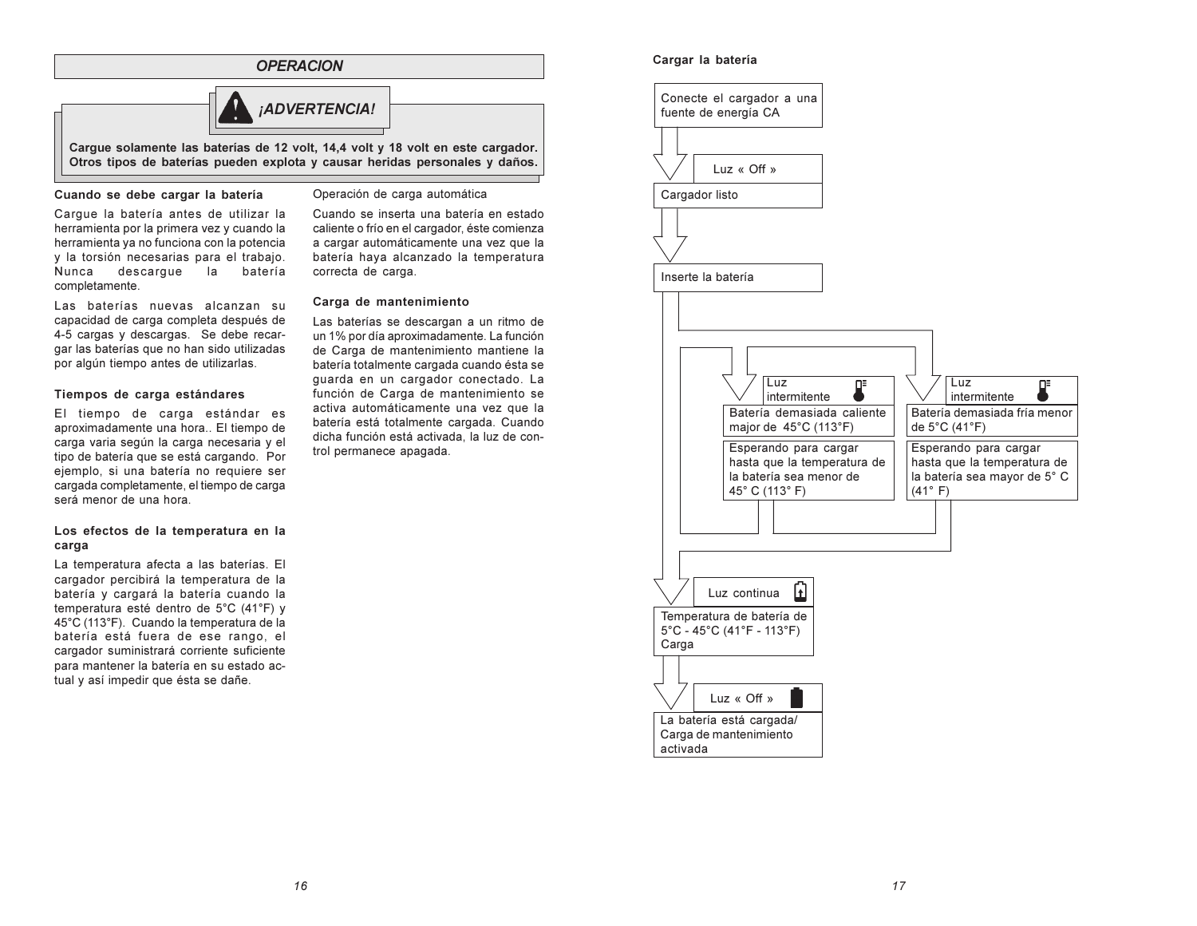## **OPERACION**



Carque solamente las baterías de 12 volt, 14,4 volt y 18 volt en este cargador. Otros tipos de baterías pueden explota y causar heridas personales y daños.

#### Cuando se debe cargar la batería

Cargue la batería antes de utilizar la herramienta por la primera vez y cuando la herramienta va no funciona con la potencia v la torsión necesarias para el trabajo. Nunca descarque la la batería completamente.

Las baterías nuevas alcanzan su capacidad de carga completa después de 4-5 cargas y descargas. Se debe recargar las baterías que no han sido utilizadas por algún tiempo antes de utilizarlas.

### Tiempos de carga estándares

El tiempo de carga estándar es aproximadamente una hora.. El tiempo de carga varia según la carga necesaria y el tipo de batería que se está cargando. Por ejemplo, si una batería no requiere ser cargada completamente, el tiempo de carga será menor de una hora

### Los efectos de la temperatura en la carga

La temperatura afecta a las baterías. El cargador percibirá la temperatura de la batería y cargará la batería cuando la temperatura esté dentro de 5°C (41°F) y 45°C (113°F). Cuando la temperatura de la batería está fuera de ese rango, el cargador suministrará corriente suficiente para mantener la batería en su estado actual y así impedir que ésta se dañe.

#### Operación de carga automática

Cuando se inserta una batería en estado caliente o frío en el cargador, éste comienza a cargar automáticamente una vez que la batería haya alcanzado la temperatura correcta de carga.

### Carga de mantenimiento

Las baterías se descargan a un ritmo de un 1% por día aproximadamente. La función de Carga de mantenimiento mantiene la batería totalmente cargada cuando ésta se quarda en un cargador conectado. La función de Carga de mantenimiento se activa automáticamente una vez que la batería está totalmente cargada. Cuando dicha función está activada, la luz de control permanece apagada.

## Cargar la batería

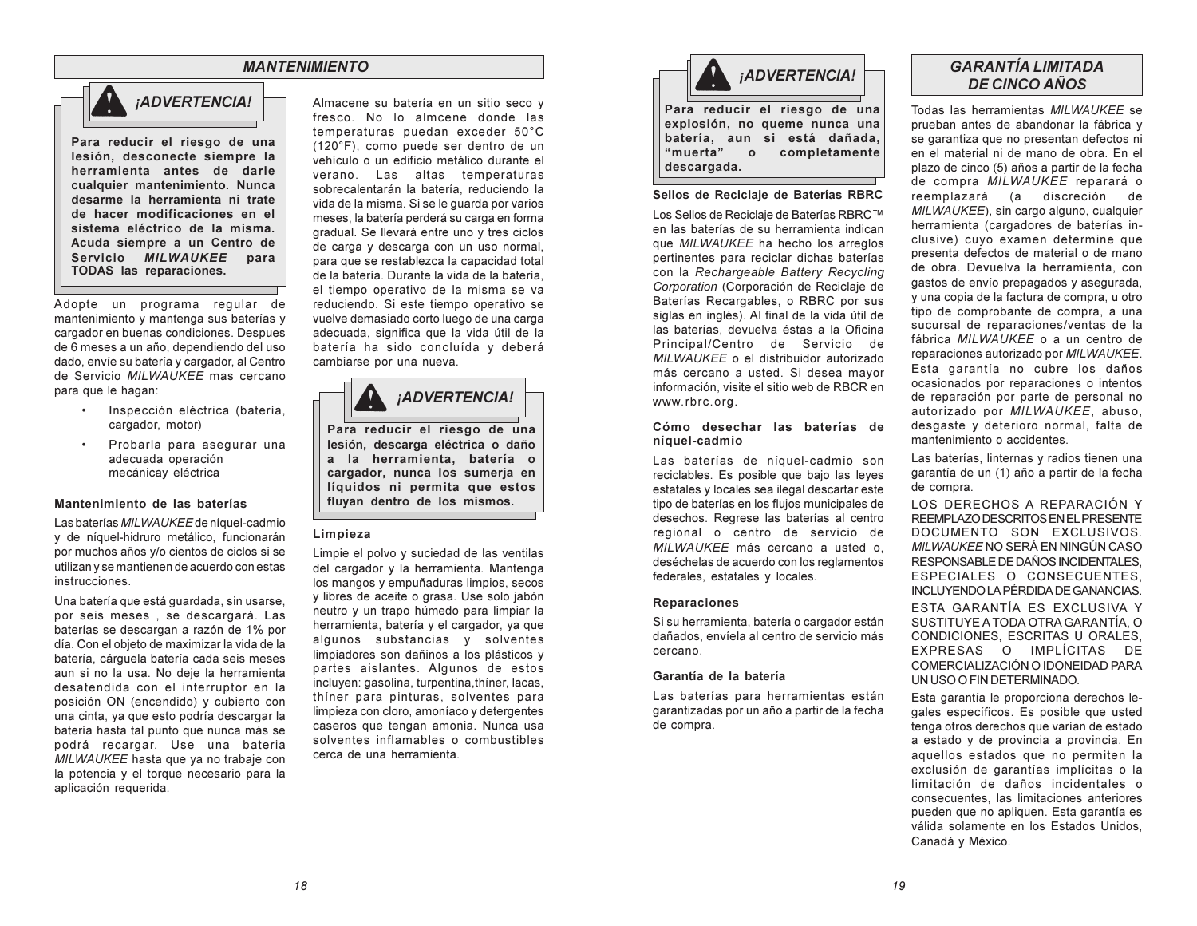## **MANTENIMIENTO**



Para reducir el riesgo de una lesión, desconecte siempre la herramienta antes de darle cualquier mantenimiento. Nunca desarme la herramienta ni trate de hacer modificaciones en el sistema eléctrico de la misma. Acuda siempre a un Centro de Servicio MILWAUKEE para TODAS las reparaciones.

Adopte un programa regular de mantenimiento y mantenga sus baterías y cargador en buenas condiciones. Despues de 6 meses a un año, dependiendo del uso dado, envíe su batería y cargador, al Centro de Servicio MILWAUKEE mas cercano para que le hagan:

- Inspección eléctrica (batería, cargador. motor)
- Probarla para asegurar una adecuada operación mecánicay eléctrica

### Mantenimiento de las baterías

Las baterías MILWAUKEE de níquel-cadmio y de níquel-hidruro metálico, funcionarán por muchos años y/o cientos de ciclos si se utilizan y se mantienen de acuerdo con estas instrucciones.

Una batería que está guardada, sin usarse, por seis meses, se descargará. Las baterías se descargan a razón de 1% por día. Con el objeto de maximizar la vida de la batería, cárguela batería cada seis meses aun si no la usa. No deje la herramienta desatendida con el interruptor en la posición ON (encendido) y cubierto con una cinta, ya que esto podría descargar la batería hasta tal punto que nunca más se podrá recargar. Use una bateria MILWAUKEE hasta que ya no trabaje con la potencia y el torque necesario para la aplicación requerida.

Almacene su batería en un sitio seco y fresco. No lo almoene donde las temperaturas puedan exceder 50°C (120°F), como puede ser dentro de un vehículo o un edificio metálico durante el verano. Las altas temperaturas sobrecalentarán la batería, reduciendo la vida de la misma. Si se le quarda por varios meses, la batería perderá su carga en forma gradual. Se llevará entre uno y tres ciclos de carga y descarga con un uso normal, para que se restablezca la capacidad total de la batería. Durante la vida de la batería. el tiempo operativo de la misma se va reduciendo. Si este tiempo operativo se vuelve demasiado corto luego de una carga adecuada, significa que la vida útil de la batería ha sido concluída y deberá cambiarse por una nueva.



Para reducir el riesgo de una lesión, descarga eléctrica o daño a la herramienta, batería o cargador, nunca los sumerja en líquidos ni permita que estos fluyan dentro de los mismos.

#### Limpieza

Limpie el polvo y suciedad de las ventilas del cargador y la herramienta. Mantenga los mangos y empuñaduras limpios, secos y libres de aceite o grasa. Use solo jabón neutro y un trapo húmedo para limpiar la herramienta, batería y el cargador, ya que algunos substancias y solventes limpiadores son dañinos a los plásticos y partes aislantes. Algunos de estos incluyen: gasolina, turpentina, thíner, lacas, thiner para pinturas, solventes para limpieza con cloro, amoníaco y detergentes caseros que tengan amonia. Nunca usa solventes inflamables o combustibles cerca de una herramienta



Para reducir el riesgo de una explosión, no queme nunca una batería, aun si está dañada. "muerta"  $\circ$ completamente descargada.

#### Sellos de Reciclaje de Baterías RBRC

Los Sellos de Reciclaie de Baterías RBRC™ en las baterías de su herramienta indican que MILWAUKEE ha hecho los arreglos pertinentes para reciclar dichas baterías con la Rechargeable Battery Recycling Corporation (Corporación de Reciclaje de Baterías Recargables, o RBRC por sus siglas en inglés). Al final de la vida útil de las baterías, devuelva éstas a la Oficina Principal/Centro de Servicio de MILWAUKEE o el distribuidor autorizado más cercano a usted. Si desea mayor información, visite el sitio web de RBCR en www.rbrc.org.

### Cómo desechar las baterías de níquel-cadmio

Las baterías de níquel-cadmio son reciclables. Es posible que bajo las leyes estatales y locales sea ilegal descartar este tipo de baterías en los flujos municipales de desechos. Regrese las baterías al centro regional o centro de servicio de MILWAUKEE más cercano a usted o. deséchelas de acuerdo con los reglamentos federales, estatales y locales.

## **Reparaciones**

Si su herramienta, batería o cargador están dañados, envíela al centro de servicio más cercano.

### Garantía de la batería

Las baterías para herramientas están garantizadas por un año a partir de la fecha de compra.

## **GARANTÍA LIMITADA DE CINCO AÑOS**

Todas las herramientas MILWAUKEE se prueban antes de abandonar la fábrica y se garantiza que no presentan defectos ni en el material ni de mano de obra. En el plazo de cinco (5) años a partir de la fecha de compra MILWAUKEE reparará o reemplazará (a discreción de MILWAUKEE), sin cargo alguno, cualquier herramienta (cargadores de baterías inclusive) cuyo examen determine que presenta defectos de material o de mano de obra. Devuelva la herramienta, con gastos de envío prepagados y asegurada, y una copia de la factura de compra, u otro tipo de comprobante de compra, a una sucursal de reparaciones/ventas de la fábrica MILWAUKEE o a un centro de reparaciones autorizado por MILWAUKEE. Esta garantía no cubre los daños ocasionados por reparaciones o intentos de reparación por parte de personal no autorizado por MILWAUKEE, abuso, desgaste y deterioro normal, falta de mantenimiento o accidentes.

Las baterías, linternas y radios tienen una garantía de un (1) año a partir de la fecha de compra.

LOS DERECHOS A REPARACIÓN Y REEMPLAZO DESCRITOS EN EL PRESENTE DOCUMENTO SON EXCLUSIVOS MILWAUKEE NO SERÁ EN NINGÚN CASO RESPONSABLE DE DAÑOS INCIDENTALES. ESPECIALES O CONSECUENTES. INCLUYENDO LA PÉRDIDA DE GANANCIAS

**FSTA GARANTÍA ES EXCLUSIVA Y** SUSTITUYE A TODA OTRA GARANTÍA. O CONDICIONES, ESCRITAS U ORALES. EXPRESAS O IMPLÍCITAS DE COMERCIALIZACIÓN O IDONEIDAD PARA UN USO O FIN DETERMINADO

Esta garantía le proporciona derechos legales específicos. Es posible que usted tenga otros derechos que varían de estado a estado y de provincia a provincia. En aquellos estados que no permiten la exclusión de garantías implícitas o la limitación de daños incidentales o consecuentes. las limitaciones anteriores pueden que no apliquen. Esta garantía es válida solamente en los Estados Unidos. Canadá y México.